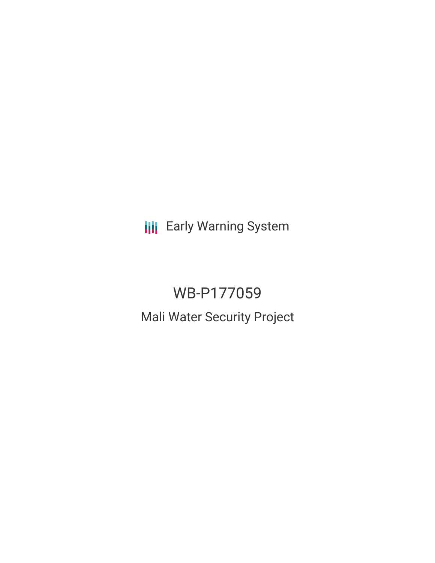**III** Early Warning System

# WB-P177059

Mali Water Security Project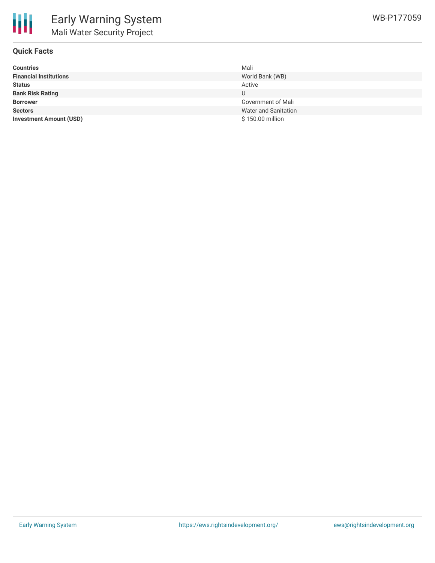

## **Quick Facts**

| <b>Countries</b>               | Mali                        |
|--------------------------------|-----------------------------|
| <b>Financial Institutions</b>  | World Bank (WB)             |
| <b>Status</b>                  | Active                      |
| <b>Bank Risk Rating</b>        | U                           |
| <b>Borrower</b>                | Government of Mali          |
| <b>Sectors</b>                 | <b>Water and Sanitation</b> |
| <b>Investment Amount (USD)</b> | \$150.00 million            |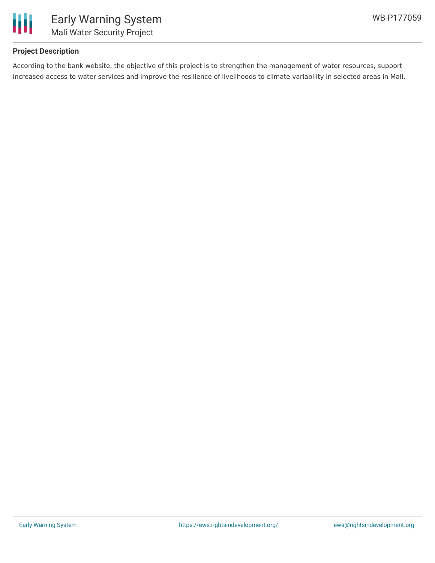

## **Project Description**

According to the bank website, the objective of this project is to strengthen the management of water resources, support increased access to water services and improve the resilience of livelihoods to climate variability in selected areas in Mali.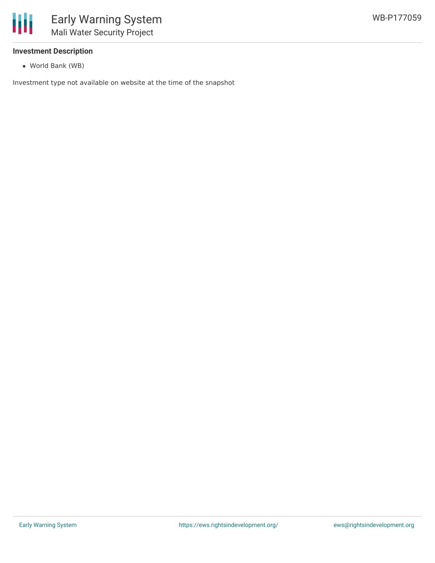

## **Investment Description**

World Bank (WB)

Investment type not available on website at the time of the snapshot